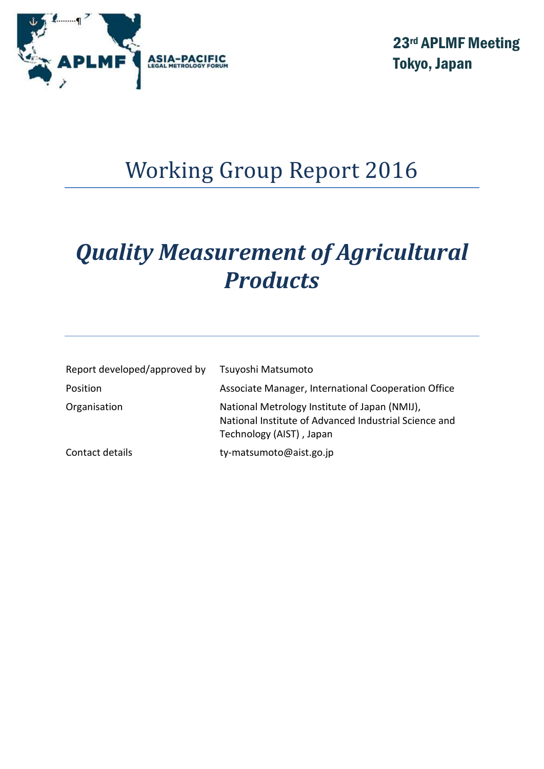

23rd APLMF Meeting Tokyo, Japan

# Working Group Report 2016

# *Quality Measurement of Agricultural Products*

| Report developed/approved by | Tsuyoshi Matsumoto                                                                                                                 |
|------------------------------|------------------------------------------------------------------------------------------------------------------------------------|
| Position                     | Associate Manager, International Cooperation Office                                                                                |
| Organisation                 | National Metrology Institute of Japan (NMIJ),<br>National Institute of Advanced Industrial Science and<br>Technology (AIST), Japan |
| Contact details              | ty-matsumoto@aist.go.jp                                                                                                            |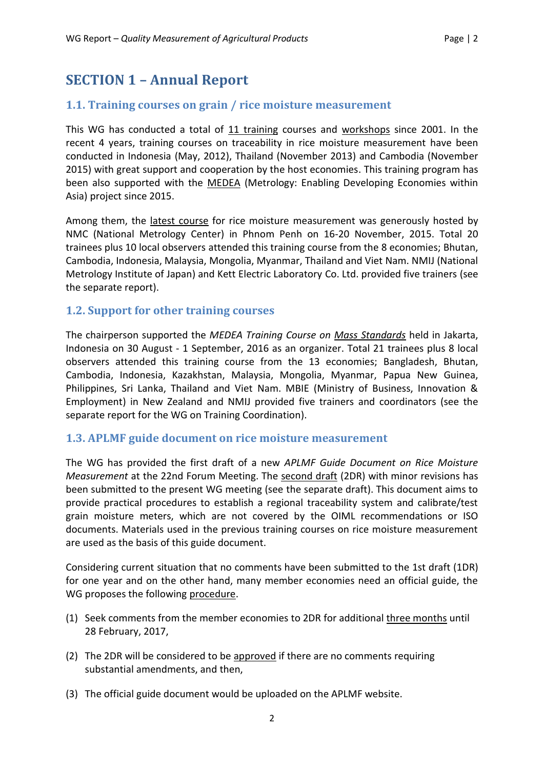# **SECTION 1 – Annual Report**

# **1.1. Training courses on grain / rice moisture measurement**

This WG has conducted a total of 11 training courses and workshops since 2001. In the recent 4 years, training courses on traceability in rice moisture measurement have been conducted in Indonesia (May, 2012), Thailand (November 2013) and Cambodia (November 2015) with great support and cooperation by the host economies. This training program has been also supported with the MEDEA (Metrology: Enabling Developing Economies within Asia) project since 2015.

Among them, the latest course for rice moisture measurement was generously hosted by NMC (National Metrology Center) in Phnom Penh on 16-20 November, 2015. Total 20 trainees plus 10 local observers attended this training course from the 8 economies; Bhutan, Cambodia, Indonesia, Malaysia, Mongolia, Myanmar, Thailand and Viet Nam. NMIJ (National Metrology Institute of Japan) and Kett Electric Laboratory Co. Ltd. provided five trainers (see the separate report).

# **1.2. Support for other training courses**

The chairperson supported the *MEDEA Training Course on Mass Standards* held in Jakarta, Indonesia on 30 August - 1 September, 2016 as an organizer. Total 21 trainees plus 8 local observers attended this training course from the 13 economies; Bangladesh, Bhutan, Cambodia, Indonesia, Kazakhstan, Malaysia, Mongolia, Myanmar, Papua New Guinea, Philippines, Sri Lanka, Thailand and Viet Nam. MBIE (Ministry of Business, Innovation & Employment) in New Zealand and NMIJ provided five trainers and coordinators (see the separate report for the WG on Training Coordination).

#### **1.3. APLMF guide document on rice moisture measurement**

The WG has provided the first draft of a new *APLMF Guide Document on Rice Moisture Measurement* at the 22nd Forum Meeting. The second draft (2DR) with minor revisions has been submitted to the present WG meeting (see the separate draft). This document aims to provide practical procedures to establish a regional traceability system and calibrate/test grain moisture meters, which are not covered by the OIML recommendations or ISO documents. Materials used in the previous training courses on rice moisture measurement are used as the basis of this guide document.

Considering current situation that no comments have been submitted to the 1st draft (1DR) for one year and on the other hand, many member economies need an official guide, the WG proposes the following procedure.

- (1) Seek comments from the member economies to 2DR for additional three months until 28 February, 2017,
- (2) The 2DR will be considered to be approved if there are no comments requiring substantial amendments, and then,
- (3) The official guide document would be uploaded on the APLMF website.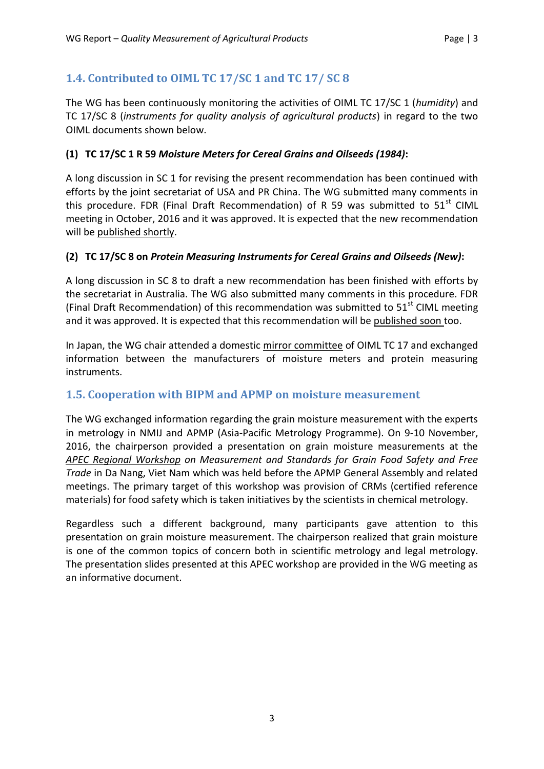# **1.4. Contributed to OIML TC 17/SC 1 and TC 17/ SC 8**

The WG has been continuously monitoring the activities of OIML TC 17/SC 1 (*humidity*) and TC 17/SC 8 (*instruments for quality analysis of agricultural products*) in regard to the two OIML documents shown below.

#### **(1) TC 17/SC 1 R 59** *Moisture Meters for Cereal Grains and Oilseeds (1984)***:**

A long discussion in SC 1 for revising the present recommendation has been continued with efforts by the joint secretariat of USA and PR China. The WG submitted many comments in this procedure. FDR (Final Draft Recommendation) of R 59 was submitted to  $51<sup>st</sup>$  CIML meeting in October, 2016 and it was approved. It is expected that the new recommendation will be published shortly.

#### **(2) TC 17/SC 8 on** *Protein Measuring Instruments for Cereal Grains and Oilseeds (New)***:**

A long discussion in SC 8 to draft a new recommendation has been finished with efforts by the secretariat in Australia. The WG also submitted many comments in this procedure. FDR (Final Draft Recommendation) of this recommendation was submitted to  $51<sup>st</sup>$  CIML meeting and it was approved. It is expected that this recommendation will be published soon too.

In Japan, the WG chair attended a domestic mirror committee of OIML TC 17 and exchanged information between the manufacturers of moisture meters and protein measuring instruments.

# **1.5. Cooperation with BIPM and APMP on moisture measurement**

The WG exchanged information regarding the grain moisture measurement with the experts in metrology in NMIJ and APMP (Asia-Pacific Metrology Programme). On 9-10 November, 2016, the chairperson provided a presentation on grain moisture measurements at the *APEC Regional Workshop on Measurement and Standards for Grain Food Safety and Free Trade* in Da Nang, Viet Nam which was held before the APMP General Assembly and related meetings. The primary target of this workshop was provision of CRMs (certified reference materials) for food safety which is taken initiatives by the scientists in chemical metrology.

Regardless such a different background, many participants gave attention to this presentation on grain moisture measurement. The chairperson realized that grain moisture is one of the common topics of concern both in scientific metrology and legal metrology. The presentation slides presented at this APEC workshop are provided in the WG meeting as an informative document.